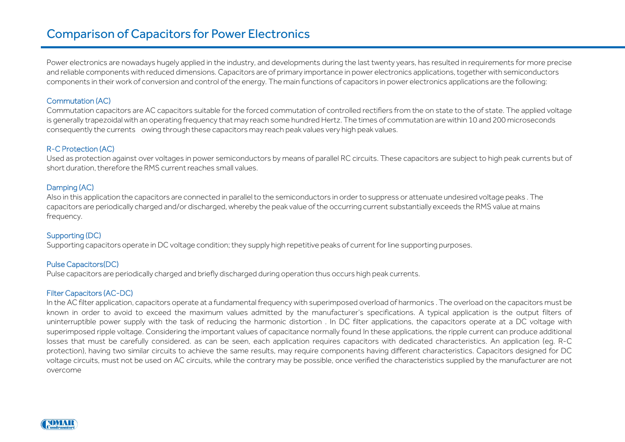# Comparison of Capacitors for Power Electronics

Power electronics are nowadays hugely applied in the industry, and developments during the last twenty years, has resulted in requirements for more precise and reliable components with reduced dimensions. Capacitors are of primary importance in power electronics applications,together with semiconductors components in their work of conversion and control ofthe energy. The main functions of capacitors in power electronics applications are the following:

# Commutation (AC)

Commutation capacitors are AC capacitors suitable for the forced commutation of controlled rectifiers from the on state to the of state. The applied voltage is generally trapezoidalwith an operating frequency that may reach some hundred Hertz. The times of commutation arewithin 10 and 200 microseconds consequently the currents owing through these capacitors may reach peak values very high peak values.

## R-C Protection (AC)

Used as protection against over voltages in power semiconductors by means of parallel RC circuits. These capacitors are subject to high peak currents but of short duration, therefore the RMS current reaches small values.

## Damping (AC)

Also in this application the capacitors are connected in parallel to the semiconductors in order to suppress or attenuate undesired voltage peaks . The capacitors are periodically charged and/or discharged, whereby the peak value of the occurring current substantially exceeds the RMS value at mains frequency.

# Supporting (DC)

Supporting capacitors operate in DC voltage condition; they supply high repetitive peaks of current for line supporting purposes.

#### Pulse Capacitors(DC)

Pulse capacitors are periodically charged and briefly discharged during operation thus occurs high peak currents.

#### Filter Capacitors (AC-DC)

In the AC filter application, capacitors operate at a fundamental frequency with superimposed overload of harmonics . The overload on the capacitors must be known in order to avoid to exceed the maximum values admitted by the manufacturer's specifications. A typical application is the output filters of uninterruptible power supply with the task of reducing the harmonic distortion . In DC filter applications, the capacitors operate at a DC voltage with superimposed ripple voltage. Considering the important values of capacitance normally found In these applications, the ripple current can produce additional losses that must be carefully considered. as can be seen, each application requires capacitors with dedicated characteristics. An application (eg. R-C protection), having two similar circuits to achieve the same results, may require components having different characteristics. Capacitors designed for DC voltage circuits, must not be used on AC circuits, while the contrary may be possible, once verified the characteristics supplied by the manufacturer are not overcome

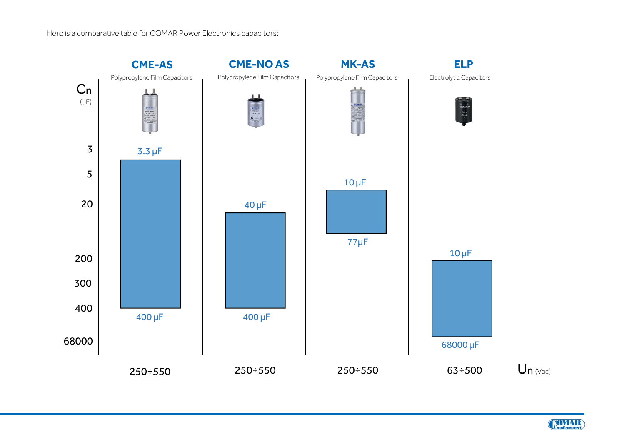